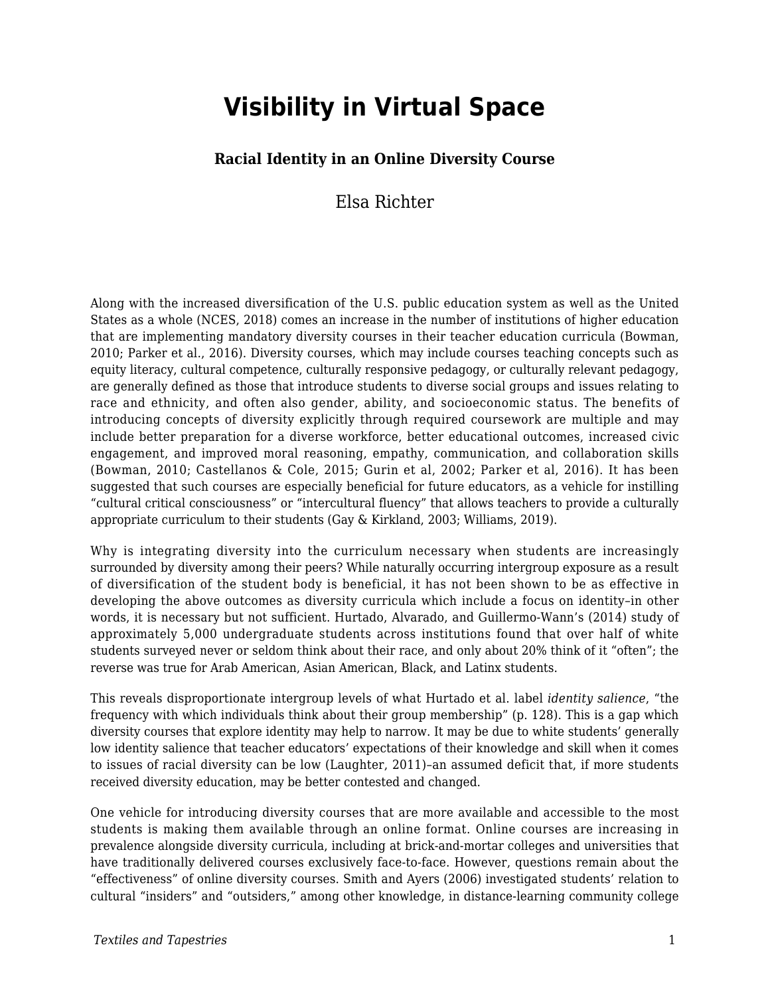# **Visibility in Virtual Space**

#### **Racial Identity in an Online Diversity Course**

### Elsa Richter

Along with the increased diversification of the U.S. public education system as well as the United States as a whole (NCES, 2018) comes an increase in the number of institutions of higher education that are implementing mandatory diversity courses in their teacher education curricula (Bowman, 2010; Parker et al., 2016). Diversity courses, which may include courses teaching concepts such as equity literacy, cultural competence, culturally responsive pedagogy, or culturally relevant pedagogy, are generally defined as those that introduce students to diverse social groups and issues relating to race and ethnicity, and often also gender, ability, and socioeconomic status. The benefits of introducing concepts of diversity explicitly through required coursework are multiple and may include better preparation for a diverse workforce, better educational outcomes, increased civic engagement, and improved moral reasoning, empathy, communication, and collaboration skills (Bowman, 2010; Castellanos & Cole, 2015; Gurin et al, 2002; Parker et al, 2016). It has been suggested that such courses are especially beneficial for future educators, as a vehicle for instilling "cultural critical consciousness" or "intercultural fluency" that allows teachers to provide a culturally appropriate curriculum to their students (Gay & Kirkland, 2003; Williams, 2019).

Why is integrating diversity into the curriculum necessary when students are increasingly surrounded by diversity among their peers? While naturally occurring intergroup exposure as a result of diversification of the student body is beneficial, it has not been shown to be as effective in developing the above outcomes as diversity curricula which include a focus on identity–in other words, it is necessary but not sufficient. Hurtado, Alvarado, and Guillermo-Wann's (2014) study of approximately 5,000 undergraduate students across institutions found that over half of white students surveyed never or seldom think about their race, and only about 20% think of it "often"; the reverse was true for Arab American, Asian American, Black, and Latinx students.

This reveals disproportionate intergroup levels of what Hurtado et al. label *identity salience*, "the frequency with which individuals think about their group membership" (p. 128). This is a gap which diversity courses that explore identity may help to narrow. It may be due to white students' generally low identity salience that teacher educators' expectations of their knowledge and skill when it comes to issues of racial diversity can be low (Laughter, 2011)–an assumed deficit that, if more students received diversity education, may be better contested and changed.

One vehicle for introducing diversity courses that are more available and accessible to the most students is making them available through an online format. Online courses are increasing in prevalence alongside diversity curricula, including at brick-and-mortar colleges and universities that have traditionally delivered courses exclusively face-to-face. However, questions remain about the "effectiveness" of online diversity courses. Smith and Ayers (2006) investigated students' relation to cultural "insiders" and "outsiders," among other knowledge, in distance-learning community college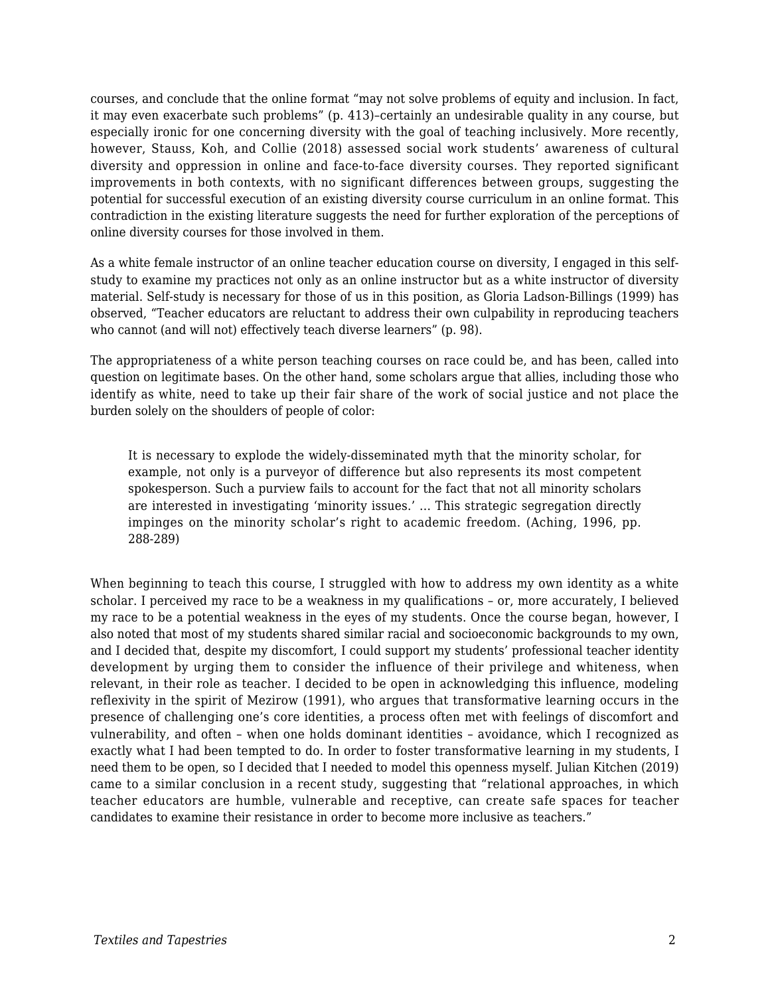courses, and conclude that the online format "may not solve problems of equity and inclusion. In fact, it may even exacerbate such problems" (p. 413)–certainly an undesirable quality in any course, but especially ironic for one concerning diversity with the goal of teaching inclusively. More recently, however, Stauss, Koh, and Collie (2018) assessed social work students' awareness of cultural diversity and oppression in online and face-to-face diversity courses. They reported significant improvements in both contexts, with no significant differences between groups, suggesting the potential for successful execution of an existing diversity course curriculum in an online format. This contradiction in the existing literature suggests the need for further exploration of the perceptions of online diversity courses for those involved in them.

As a white female instructor of an online teacher education course on diversity, I engaged in this selfstudy to examine my practices not only as an online instructor but as a white instructor of diversity material. Self-study is necessary for those of us in this position, as Gloria Ladson-Billings (1999) has observed, "Teacher educators are reluctant to address their own culpability in reproducing teachers who cannot (and will not) effectively teach diverse learners" (p. 98).

The appropriateness of a white person teaching courses on race could be, and has been, called into question on legitimate bases. On the other hand, some scholars argue that allies, including those who identify as white, need to take up their fair share of the work of social justice and not place the burden solely on the shoulders of people of color:

It is necessary to explode the widely-disseminated myth that the minority scholar, for example, not only is a purveyor of difference but also represents its most competent spokesperson. Such a purview fails to account for the fact that not all minority scholars are interested in investigating 'minority issues.' ... This strategic segregation directly impinges on the minority scholar's right to academic freedom. (Aching, 1996, pp. 288-289)

When beginning to teach this course, I struggled with how to address my own identity as a white scholar. I perceived my race to be a weakness in my qualifications – or, more accurately, I believed my race to be a potential weakness in the eyes of my students. Once the course began, however, I also noted that most of my students shared similar racial and socioeconomic backgrounds to my own, and I decided that, despite my discomfort, I could support my students' professional teacher identity development by urging them to consider the influence of their privilege and whiteness, when relevant, in their role as teacher. I decided to be open in acknowledging this influence, modeling reflexivity in the spirit of Mezirow (1991), who argues that transformative learning occurs in the presence of challenging one's core identities, a process often met with feelings of discomfort and vulnerability, and often – when one holds dominant identities – avoidance, which I recognized as exactly what I had been tempted to do. In order to foster transformative learning in my students, I need them to be open, so I decided that I needed to model this openness myself. Julian Kitchen (2019) came to a similar conclusion in a recent study, suggesting that "relational approaches, in which teacher educators are humble, vulnerable and receptive, can create safe spaces for teacher candidates to examine their resistance in order to become more inclusive as teachers."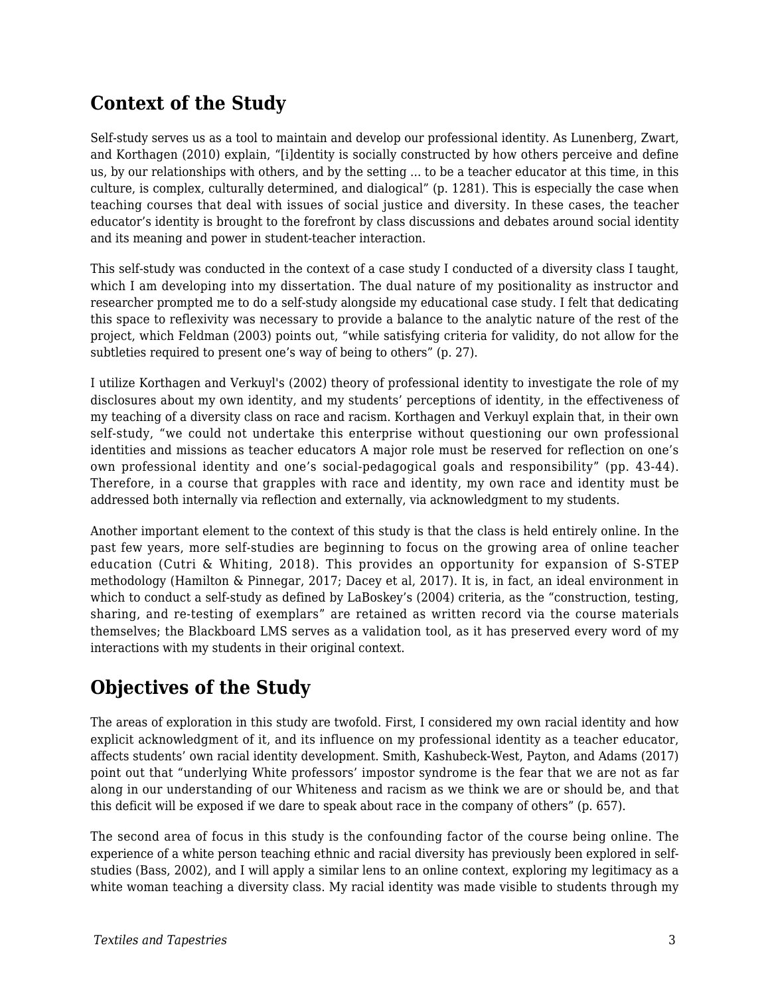### **Context of the Study**

Self-study serves us as a tool to maintain and develop our professional identity. As Lunenberg, Zwart, and Korthagen (2010) explain, "[i]dentity is socially constructed by how others perceive and define us, by our relationships with others, and by the setting ... to be a teacher educator at this time, in this culture, is complex, culturally determined, and dialogical" (p. 1281). This is especially the case when teaching courses that deal with issues of social justice and diversity. In these cases, the teacher educator's identity is brought to the forefront by class discussions and debates around social identity and its meaning and power in student-teacher interaction.

This self-study was conducted in the context of a case study I conducted of a diversity class I taught, which I am developing into my dissertation. The dual nature of my positionality as instructor and researcher prompted me to do a self-study alongside my educational case study. I felt that dedicating this space to reflexivity was necessary to provide a balance to the analytic nature of the rest of the project, which Feldman (2003) points out, "while satisfying criteria for validity, do not allow for the subtleties required to present one's way of being to others" (p. 27).

I utilize Korthagen and Verkuyl's (2002) theory of professional identity to investigate the role of my disclosures about my own identity, and my students' perceptions of identity*,* in the effectiveness of my teaching of a diversity class on race and racism. Korthagen and Verkuyl explain that, in their own self-study, "we could not undertake this enterprise without questioning our own professional identities and missions as teacher educators A major role must be reserved for reflection on one's own professional identity and one's social-pedagogical goals and responsibility" (pp. 43-44). Therefore, in a course that grapples with race and identity, my own race and identity must be addressed both internally via reflection and externally, via acknowledgment to my students.

Another important element to the context of this study is that the class is held entirely online. In the past few years, more self-studies are beginning to focus on the growing area of online teacher education (Cutri & Whiting, 2018). This provides an opportunity for expansion of S-STEP methodology (Hamilton & Pinnegar, 2017; Dacey et al, 2017). It is, in fact, an ideal environment in which to conduct a self-study as defined by LaBoskey's (2004) criteria, as the "construction, testing, sharing, and re-testing of exemplars" are retained as written record via the course materials themselves; the Blackboard LMS serves as a validation tool, as it has preserved every word of my interactions with my students in their original context.

### **Objectives of the Study**

The areas of exploration in this study are twofold. First, I considered my own racial identity and how explicit acknowledgment of it, and its influence on my professional identity as a teacher educator, affects students' own racial identity development. Smith, Kashubeck-West, Payton, and Adams (2017) point out that "underlying White professors' impostor syndrome is the fear that we are not as far along in our understanding of our Whiteness and racism as we think we are or should be, and that this deficit will be exposed if we dare to speak about race in the company of others" (p. 657).

The second area of focus in this study is the confounding factor of the course being online. The experience of a white person teaching ethnic and racial diversity has previously been explored in selfstudies (Bass, 2002), and I will apply a similar lens to an online context, exploring my legitimacy as a white woman teaching a diversity class. My racial identity was made visible to students through my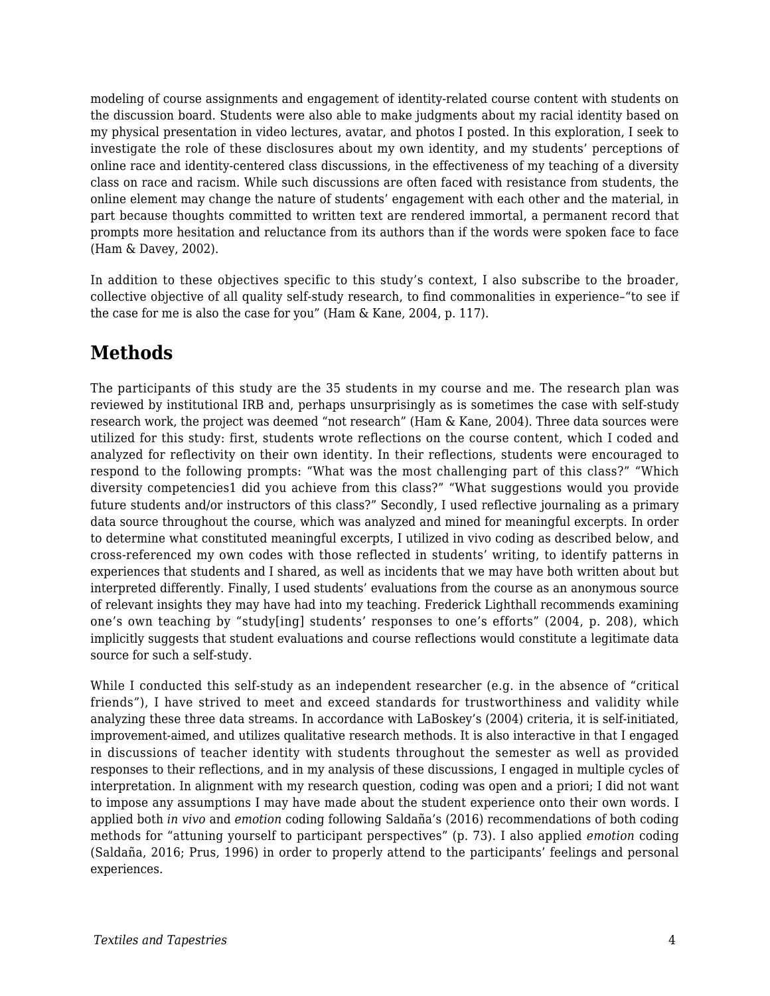modeling of course assignments and engagement of identity-related course content with students on the discussion board. Students were also able to make judgments about my racial identity based on my physical presentation in video lectures, avatar, and photos I posted. In this exploration, I seek to investigate the role of these disclosures about my own identity, and my students' perceptions of online race and identity-centered class discussions*,* in the effectiveness of my teaching of a diversity class on race and racism. While such discussions are often faced with resistance from students, the online element may change the nature of students' engagement with each other and the material, in part because thoughts committed to written text are rendered immortal, a permanent record that prompts more hesitation and reluctance from its authors than if the words were spoken face to face (Ham & Davey, 2002).

In addition to these objectives specific to this study's context, I also subscribe to the broader, collective objective of all quality self-study research, to find commonalities in experience–"to see if the case for me is also the case for you" (Ham & Kane, 2004, p. 117).

## **Methods**

The participants of this study are the 35 students in my course and me. The research plan was reviewed by institutional IRB and, perhaps unsurprisingly as is sometimes the case with self-study research work, the project was deemed "not research" (Ham & Kane, 2004). Three data sources were utilized for this study: first, students wrote reflections on the course content, which I coded and analyzed for reflectivity on their own identity. In their reflections, students were encouraged to respond to the following prompts: "What was the most challenging part of this class?" "Which diversity competencies1 did you achieve from this class?" "What suggestions would you provide future students and/or instructors of this class?" Secondly, I used reflective journaling as a primary data source throughout the course, which was analyzed and mined for meaningful excerpts. In order to determine what constituted meaningful excerpts, I utilized in vivo coding as described below, and cross-referenced my own codes with those reflected in students' writing, to identify patterns in experiences that students and I shared, as well as incidents that we may have both written about but interpreted differently. Finally, I used students' evaluations from the course as an anonymous source of relevant insights they may have had into my teaching. Frederick Lighthall recommends examining one's own teaching by "study[ing] students' responses to one's efforts" (2004, p. 208), which implicitly suggests that student evaluations and course reflections would constitute a legitimate data source for such a self-study.

While I conducted this self-study as an independent researcher (e.g. in the absence of "critical") friends"), I have strived to meet and exceed standards for trustworthiness and validity while analyzing these three data streams. In accordance with LaBoskey's (2004) criteria, it is self-initiated, improvement-aimed, and utilizes qualitative research methods. It is also interactive in that I engaged in discussions of teacher identity with students throughout the semester as well as provided responses to their reflections, and in my analysis of these discussions, I engaged in multiple cycles of interpretation. In alignment with my research question, coding was open and a priori; I did not want to impose any assumptions I may have made about the student experience onto their own words. I applied both *in vivo* and *emotion* coding following Saldaña's (2016) recommendations of both coding methods for "attuning yourself to participant perspectives" (p. 73). I also applied *emotion* coding (Saldaña, 2016; Prus, 1996) in order to properly attend to the participants' feelings and personal experiences.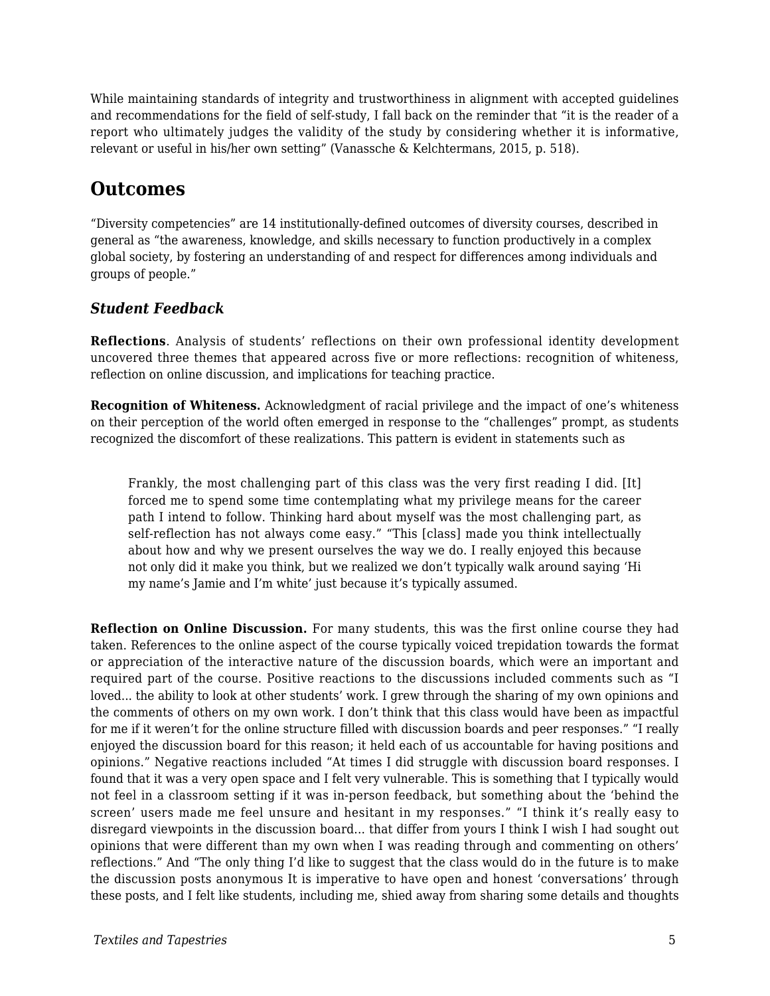While maintaining standards of integrity and trustworthiness in alignment with accepted guidelines and recommendations for the field of self-study, I fall back on the reminder that "it is the reader of a report who ultimately judges the validity of the study by considering whether it is informative, relevant or useful in his/her own setting" (Vanassche & Kelchtermans, 2015, p. 518).

### **Outcomes**

"Diversity competencies" are 14 institutionally-defined outcomes of diversity courses, described in general as "the awareness, knowledge, and skills necessary to function productively in a complex global society, by fostering an understanding of and respect for differences among individuals and groups of people."

#### *Student Feedback*

**Reflections**. Analysis of students' reflections on their own professional identity development uncovered three themes that appeared across five or more reflections: recognition of whiteness, reflection on online discussion, and implications for teaching practice.

**Recognition of Whiteness.** Acknowledgment of racial privilege and the impact of one's whiteness on their perception of the world often emerged in response to the "challenges" prompt, as students recognized the discomfort of these realizations. This pattern is evident in statements such as

Frankly, the most challenging part of this class was the very first reading I did. [It] forced me to spend some time contemplating what my privilege means for the career path I intend to follow. Thinking hard about myself was the most challenging part, as self-reflection has not always come easy." "This [class] made you think intellectually about how and why we present ourselves the way we do. I really enjoyed this because not only did it make you think, but we realized we don't typically walk around saying 'Hi my name's Jamie and I'm white' just because it's typically assumed.

**Reflection on Online Discussion.** For many students, this was the first online course they had taken. References to the online aspect of the course typically voiced trepidation towards the format or appreciation of the interactive nature of the discussion boards, which were an important and required part of the course. Positive reactions to the discussions included comments such as "I loved... the ability to look at other students' work. I grew through the sharing of my own opinions and the comments of others on my own work. I don't think that this class would have been as impactful for me if it weren't for the online structure filled with discussion boards and peer responses." "I really enjoyed the discussion board for this reason; it held each of us accountable for having positions and opinions." Negative reactions included "At times I did struggle with discussion board responses. I found that it was a very open space and I felt very vulnerable. This is something that I typically would not feel in a classroom setting if it was in-person feedback, but something about the 'behind the screen' users made me feel unsure and hesitant in my responses." "I think it's really easy to disregard viewpoints in the discussion board... that differ from yours I think I wish I had sought out opinions that were different than my own when I was reading through and commenting on others' reflections." And "The only thing I'd like to suggest that the class would do in the future is to make the discussion posts anonymous It is imperative to have open and honest 'conversations' through these posts, and I felt like students, including me, shied away from sharing some details and thoughts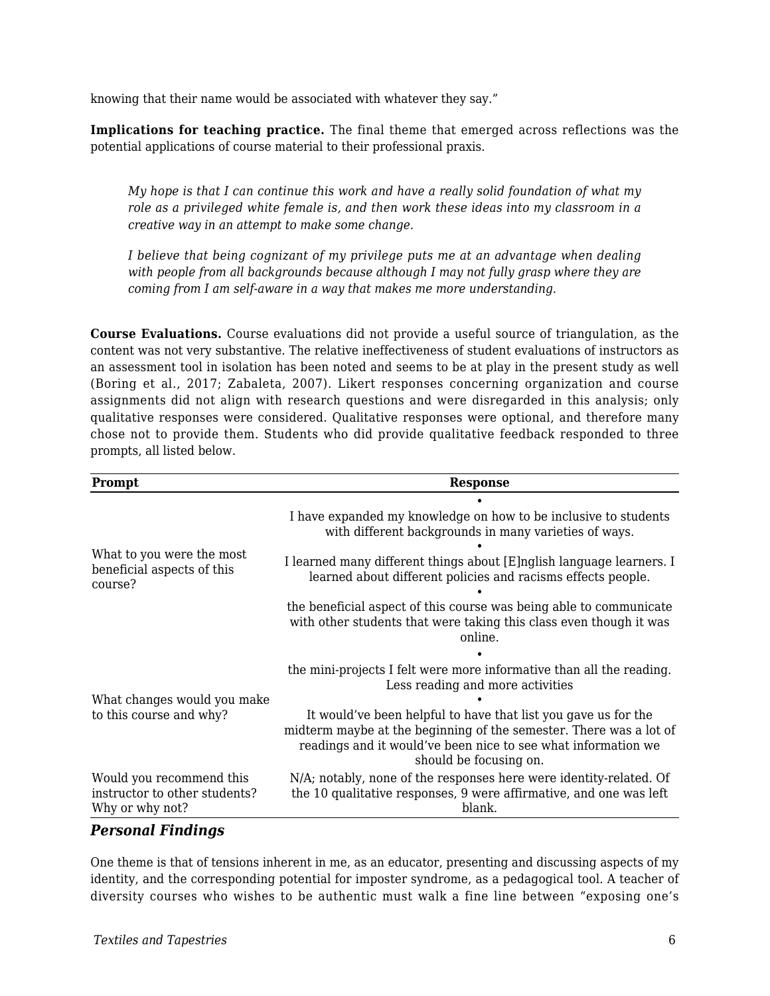knowing that their name would be associated with whatever they say."

**Implications for teaching practice.** The final theme that emerged across reflections was the potential applications of course material to their professional praxis.

*My hope is that I can continue this work and have a really solid foundation of what my role as a privileged white female is, and then work these ideas into my classroom in a creative way in an attempt to make some change.*

*I believe that being cognizant of my privilege puts me at an advantage when dealing with people from all backgrounds because although I may not fully grasp where they are coming from I am self-aware in a way that makes me more understanding.*

**Course Evaluations.** Course evaluations did not provide a useful source of triangulation, as the content was not very substantive. The relative ineffectiveness of student evaluations of instructors as an assessment tool in isolation has been noted and seems to be at play in the present study as well (Boring et al., 2017; Zabaleta, 2007). Likert responses concerning organization and course assignments did not align with research questions and were disregarded in this analysis; only qualitative responses were considered. Qualitative responses were optional, and therefore many chose not to provide them. Students who did provide qualitative feedback responded to three prompts, all listed below.

| Prompt                                                                       | <b>Response</b>                                                                                                                                                                                                                 |
|------------------------------------------------------------------------------|---------------------------------------------------------------------------------------------------------------------------------------------------------------------------------------------------------------------------------|
|                                                                              |                                                                                                                                                                                                                                 |
| What to you were the most<br>beneficial aspects of this<br>course?           | I have expanded my knowledge on how to be inclusive to students<br>with different backgrounds in many varieties of ways.                                                                                                        |
|                                                                              |                                                                                                                                                                                                                                 |
|                                                                              | I learned many different things about [E]nglish language learners. I<br>learned about different policies and racisms effects people.                                                                                            |
|                                                                              |                                                                                                                                                                                                                                 |
|                                                                              | the beneficial aspect of this course was being able to communicate<br>with other students that were taking this class even though it was<br>online.                                                                             |
|                                                                              |                                                                                                                                                                                                                                 |
| What changes would you make<br>to this course and why?                       | the mini-projects I felt were more informative than all the reading.<br>Less reading and more activities                                                                                                                        |
|                                                                              |                                                                                                                                                                                                                                 |
|                                                                              | It would've been helpful to have that list you gave us for the<br>midterm maybe at the beginning of the semester. There was a lot of<br>readings and it would've been nice to see what information we<br>should be focusing on. |
| Would you recommend this<br>instructor to other students?<br>Why or why not? | N/A; notably, none of the responses here were identity-related. Of<br>the 10 qualitative responses, 9 were affirmative, and one was left<br>blank.                                                                              |

#### *Personal Findings*

One theme is that of tensions inherent in me, as an educator, presenting and discussing aspects of my identity, and the corresponding potential for imposter syndrome, as a pedagogical tool. A teacher of diversity courses who wishes to be authentic must walk a fine line between "exposing one's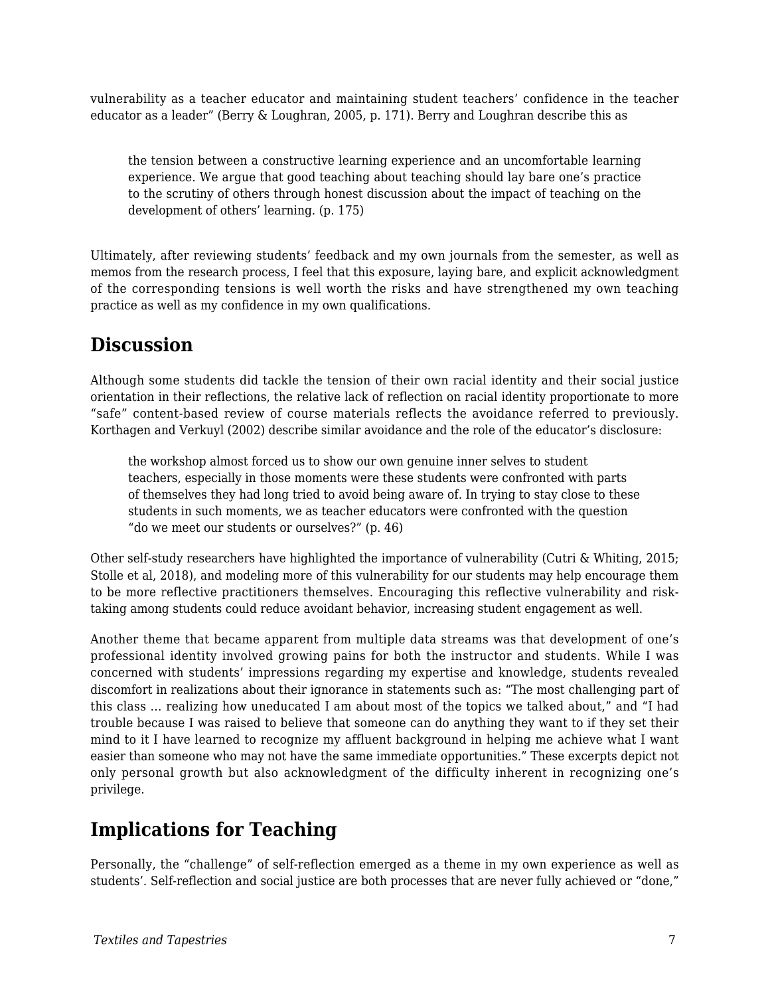vulnerability as a teacher educator and maintaining student teachers' confidence in the teacher educator as a leader" (Berry & Loughran, 2005, p. 171). Berry and Loughran describe this as

the tension between a constructive learning experience and an uncomfortable learning experience. We argue that good teaching about teaching should lay bare one's practice to the scrutiny of others through honest discussion about the impact of teaching on the development of others' learning. (p. 175)

Ultimately, after reviewing students' feedback and my own journals from the semester, as well as memos from the research process, I feel that this exposure, laying bare, and explicit acknowledgment of the corresponding tensions is well worth the risks and have strengthened my own teaching practice as well as my confidence in my own qualifications.

### **Discussion**

Although some students did tackle the tension of their own racial identity and their social justice orientation in their reflections, the relative lack of reflection on racial identity proportionate to more "safe" content-based review of course materials reflects the avoidance referred to previously. Korthagen and Verkuyl (2002) describe similar avoidance and the role of the educator's disclosure:

the workshop almost forced us to show our own genuine inner selves to student teachers, especially in those moments were these students were confronted with parts of themselves they had long tried to avoid being aware of. In trying to stay close to these students in such moments, we as teacher educators were confronted with the question "do we meet our students or ourselves?" (p. 46)

Other self-study researchers have highlighted the importance of vulnerability (Cutri & Whiting, 2015; Stolle et al, 2018), and modeling more of this vulnerability for our students may help encourage them to be more reflective practitioners themselves. Encouraging this reflective vulnerability and risktaking among students could reduce avoidant behavior, increasing student engagement as well.

Another theme that became apparent from multiple data streams was that development of one's professional identity involved growing pains for both the instructor and students. While I was concerned with students' impressions regarding my expertise and knowledge, students revealed discomfort in realizations about their ignorance in statements such as: "The most challenging part of this class ... realizing how uneducated I am about most of the topics we talked about," and "I had trouble because I was raised to believe that someone can do anything they want to if they set their mind to it I have learned to recognize my affluent background in helping me achieve what I want easier than someone who may not have the same immediate opportunities." These excerpts depict not only personal growth but also acknowledgment of the difficulty inherent in recognizing one's privilege.

### **Implications for Teaching**

Personally, the "challenge" of self-reflection emerged as a theme in my own experience as well as students'. Self-reflection and social justice are both processes that are never fully achieved or "done,"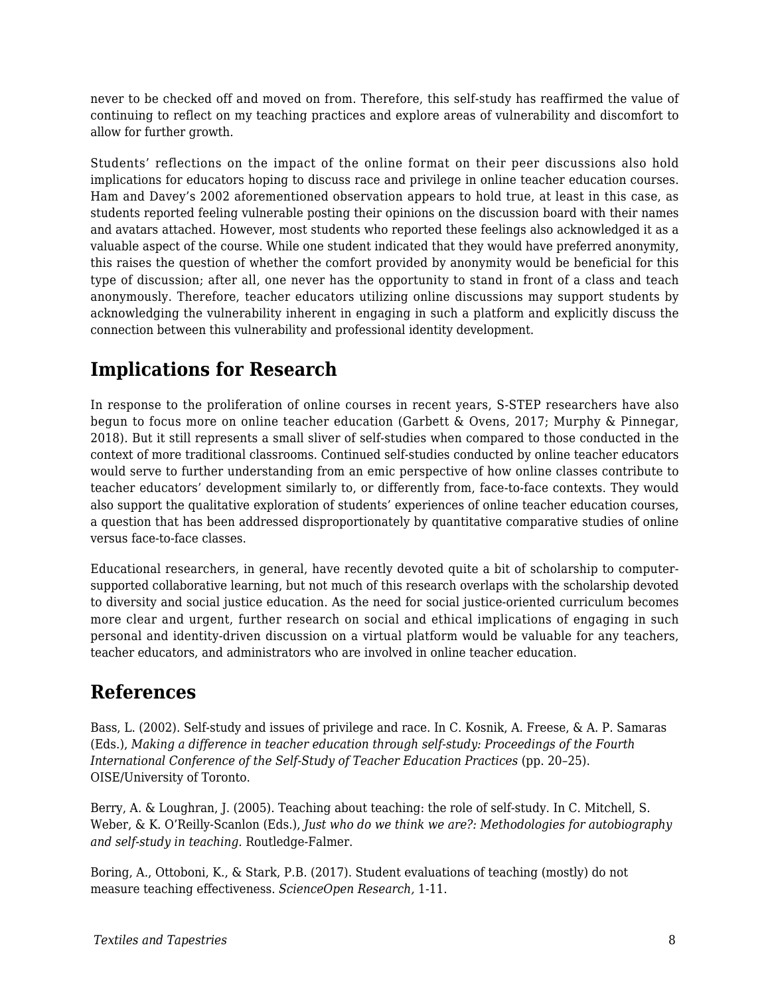never to be checked off and moved on from. Therefore, this self-study has reaffirmed the value of continuing to reflect on my teaching practices and explore areas of vulnerability and discomfort to allow for further growth.

Students' reflections on the impact of the online format on their peer discussions also hold implications for educators hoping to discuss race and privilege in online teacher education courses. Ham and Davey's 2002 aforementioned observation appears to hold true, at least in this case, as students reported feeling vulnerable posting their opinions on the discussion board with their names and avatars attached. However, most students who reported these feelings also acknowledged it as a valuable aspect of the course. While one student indicated that they would have preferred anonymity, this raises the question of whether the comfort provided by anonymity would be beneficial for this type of discussion; after all, one never has the opportunity to stand in front of a class and teach anonymously. Therefore, teacher educators utilizing online discussions may support students by acknowledging the vulnerability inherent in engaging in such a platform and explicitly discuss the connection between this vulnerability and professional identity development.

## **Implications for Research**

In response to the proliferation of online courses in recent years, S-STEP researchers have also begun to focus more on online teacher education (Garbett & Ovens, 2017; Murphy & Pinnegar, 2018). But it still represents a small sliver of self-studies when compared to those conducted in the context of more traditional classrooms. Continued self-studies conducted by online teacher educators would serve to further understanding from an emic perspective of how online classes contribute to teacher educators' development similarly to, or differently from, face-to-face contexts. They would also support the qualitative exploration of students' experiences of online teacher education courses, a question that has been addressed disproportionately by quantitative comparative studies of online versus face-to-face classes.

Educational researchers, in general, have recently devoted quite a bit of scholarship to computersupported collaborative learning, but not much of this research overlaps with the scholarship devoted to diversity and social justice education. As the need for social justice-oriented curriculum becomes more clear and urgent, further research on social and ethical implications of engaging in such personal and identity-driven discussion on a virtual platform would be valuable for any teachers, teacher educators, and administrators who are involved in online teacher education.

### **References**

Bass, L. (2002). Self-study and issues of privilege and race. In C. Kosnik, A. Freese, & A. P. Samaras (Eds.), *Making a difference in teacher education through self-study: Proceedings of the Fourth International Conference of the Self-Study of Teacher Education Practices* (pp. 20–25). OISE/University of Toronto.

Berry, A. & Loughran, J. (2005). Teaching about teaching: the role of self-study. In C. Mitchell, S. Weber, & K. O'Reilly-Scanlon (Eds.), *Just who do we think we are?: Methodologies for autobiography and self-study in teaching.* Routledge-Falmer.

Boring, A., Ottoboni, K., & Stark, P.B. (2017). Student evaluations of teaching (mostly) do not measure teaching effectiveness. *ScienceOpen Research,* 1-11.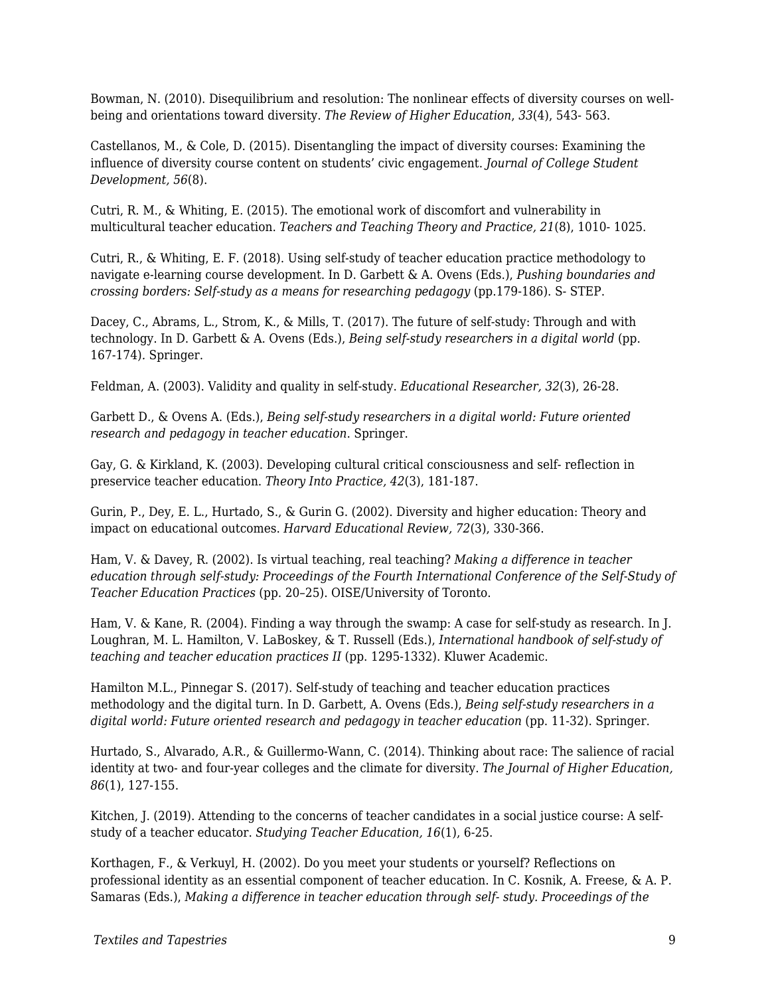Bowman, N. (2010). Disequilibrium and resolution: The nonlinear effects of diversity courses on wellbeing and orientations toward diversity. *The Review of Higher Education*, *33*(4), 543- 563.

Castellanos, M., & Cole, D. (2015). Disentangling the impact of diversity courses: Examining the influence of diversity course content on students' civic engagement. *Journal of College Student Development, 56*(8).

Cutri, R. M., & Whiting, E. (2015). The emotional work of discomfort and vulnerability in multicultural teacher education. *Teachers and Teaching Theory and Practice, 21*(8), 1010- 1025.

Cutri, R., & Whiting, E. F. (2018). Using self-study of teacher education practice methodology to navigate e-learning course development. In D. Garbett & A. Ovens (Eds.), *Pushing boundaries and crossing borders: Self-study as a means for researching pedagogy* (pp.179-186). S- STEP.

Dacey, C., Abrams, L., Strom, K., & Mills, T. (2017). The future of self-study: Through and with technology. In D. Garbett & A. Ovens (Eds.), *Being self-study researchers in a digital world* (pp. 167-174)*.* Springer.

Feldman, A. (2003). Validity and quality in self-study. *Educational Researcher, 32*(3), 26-28.

Garbett D., & Ovens A. (Eds.), *Being self-study researchers in a digital world: Future oriented research and pedagogy in teacher education*. Springer.

Gay, G. & Kirkland, K. (2003). Developing cultural critical consciousness and self- reflection in preservice teacher education. *Theory Into Practice, 42*(3), 181-187.

Gurin, P., Dey, E. L., Hurtado, S., & Gurin G. (2002). Diversity and higher education: Theory and impact on educational outcomes. *Harvard Educational Review, 72*(3), 330-366.

Ham, V. & Davey, R. (2002). Is virtual teaching, real teaching? *Making a difference in teacher education through self-study: Proceedings of the Fourth International Conference of the Self-Study of Teacher Education Practices* (pp. 20–25). OISE/University of Toronto.

Ham, V. & Kane, R. (2004). Finding a way through the swamp: A case for self-study as research. In J. Loughran, M. L. Hamilton, V. LaBoskey, & T. Russell (Eds.), *International handbook of self-study of teaching and teacher education practices II* (pp. 1295-1332). Kluwer Academic.

Hamilton M.L., Pinnegar S. (2017). Self-study of teaching and teacher education practices methodology and the digital turn. In D. Garbett, A. Ovens (Eds.), *Being self-study researchers in a digital world: Future oriented research and pedagogy in teacher education* (pp. 11-32). Springer.

Hurtado, S., Alvarado, A.R., & Guillermo-Wann, C. (2014). Thinking about race: The salience of racial identity at two- and four-year colleges and the climate for diversity. *The Journal of Higher Education, 86*(1), 127-155.

Kitchen, J. (2019). Attending to the concerns of teacher candidates in a social justice course: A selfstudy of a teacher educator. *Studying Teacher Education, 16*(1), 6-25.

Korthagen, F., & Verkuyl, H. (2002). Do you meet your students or yourself? Reflections on professional identity as an essential component of teacher education. In C. Kosnik, A. Freese, & A. P. Samaras (Eds.), *Making a difference in teacher education through self- study. Proceedings of the*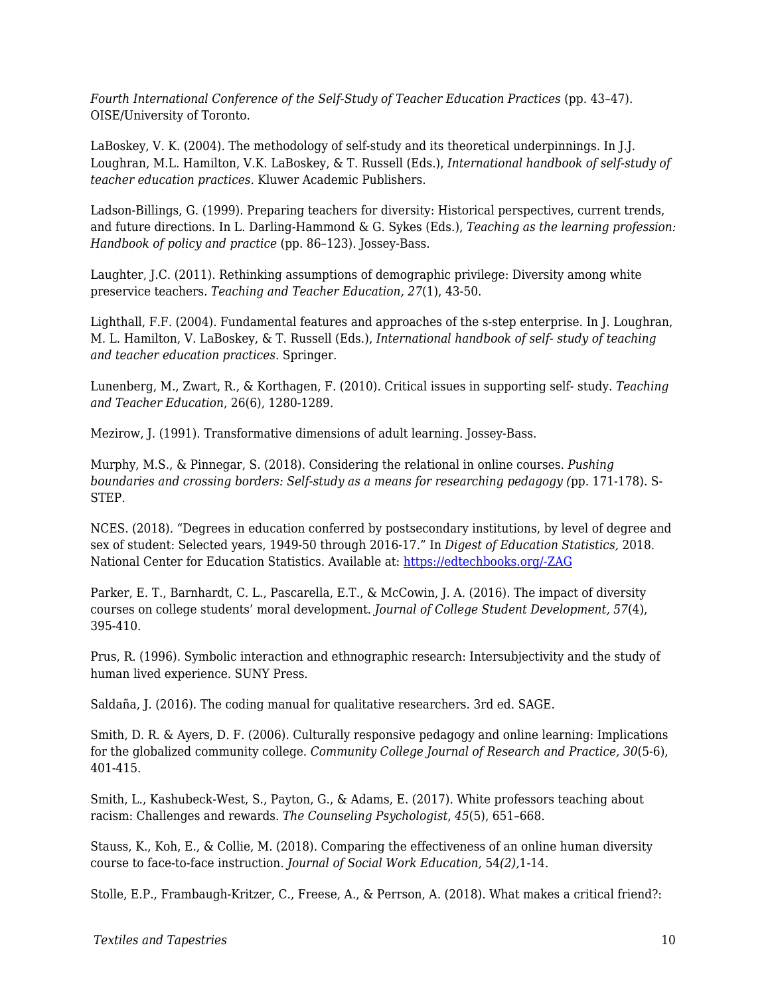*Fourth International Conference of the Self-Study of Teacher Education Practices (pp. 43-47).* OISE/University of Toronto.

LaBoskey, V. K. (2004). The methodology of self-study and its theoretical underpinnings. In J.J. Loughran, M.L. Hamilton, V.K. LaBoskey, & T. Russell (Eds.), *International handbook of self-study of teacher education practices.* Kluwer Academic Publishers.

Ladson-Billings, G. (1999). Preparing teachers for diversity: Historical perspectives, current trends, and future directions. In L. Darling-Hammond & G. Sykes (Eds.), *Teaching as the learning profession: Handbook of policy and practice* (pp. 86–123). Jossey-Bass.

Laughter, J.C. (2011). Rethinking assumptions of demographic privilege: Diversity among white preservice teachers. *Teaching and Teacher Education, 27*(1), 43-50.

Lighthall, F.F. (2004). Fundamental features and approaches of the s-step enterprise. In J. Loughran, M. L. Hamilton, V. LaBoskey, & T. Russell (Eds.), *International handbook of self- study of teaching and teacher education practices.* Springer.

Lunenberg, M., Zwart, R., & Korthagen, F. (2010). Critical issues in supporting self- study. *Teaching and Teacher Education*, 26(6), 1280-1289.

Mezirow, J. (1991). Transformative dimensions of adult learning. Jossey-Bass.

Murphy, M.S., & Pinnegar, S. (2018). Considering the relational in online courses. *Pushing boundaries and crossing borders: Self-study as a means for researching pedagogy (*pp. 171-178). S-STEP.

NCES. (2018). "Degrees in education conferred by postsecondary institutions, by level of degree and sex of student: Selected years, 1949-50 through 2016-17." In *Digest of Education Statistics,* 2018. National Center for Education Statistics. Available at: [https://edtechbooks.org/-ZAG](https://nces.ed.gov/programs/digest/d18/tables/dt18_325.40.asp)

Parker, E. T., Barnhardt, C. L., Pascarella, E.T., & McCowin, J. A. (2016). The impact of diversity courses on college students' moral development. *Journal of College Student Development, 57*(4), 395-410.

Prus, R. (1996). Symbolic interaction and ethnographic research: Intersubjectivity and the study of human lived experience. SUNY Press.

Saldaña, J. (2016). The coding manual for qualitative researchers. 3rd ed. SAGE.

Smith, D. R. & Ayers, D. F. (2006). Culturally responsive pedagogy and online learning: Implications for the globalized community college. *Community College Journal of Research and Practice, 30*(5-6), 401-415.

Smith, L., Kashubeck-West, S., Payton, G., & Adams, E. (2017). White professors teaching about racism: Challenges and rewards. *The Counseling Psychologist*, *45*(5), 651–668.

Stauss, K., Koh, E., & Collie, M. (2018). Comparing the effectiveness of an online human diversity course to face-to-face instruction. *Journal of Social Work Education,* 54*(2),*1-14.

Stolle, E.P., Frambaugh-Kritzer, C., Freese, A., & Perrson, A. (2018). What makes a critical friend?: